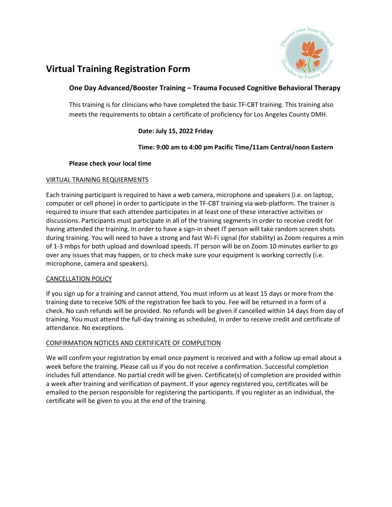

# **Virtual Training Registration Form**

## **One Day Advanced/Booster Training – Trauma Focused Cognitive Behavioral Therapy**

This training is for clinicians who have completed the basic TF-CBT training. This training also meets the requirements to obtain a certificate of proficiency for Los Angeles County DMH.

# **Date: July 15, 2022 Friday**

## **Time: 9:00 am to 4:00 pm Pacific Time/11am Central/noon Eastern**

## **Please check your local time**

## VIRTUAL TRAINING REQUIERMENTS

Each training participant is required to have a web camera, microphone and speakers (i.e. on laptop, computer or cell phone) in order to participate in the TF-CBT training via web-platform. The trainer is required to insure that each attendee participates in at least one of these interactive activities or discussions. Participants must participate in all of the training segments in order to receive credit for having attended the training. In order to have a sign-in sheet IT person will take random screen shots during training. You will need to have a strong and fast Wi-Fi signal (for stability) as Zoom requires a min of 1-3 mbps for both upload and download speeds. IT person will be on Zoom 10 minutes earlier to go over any issues that may happen, or to check make sure your equipment is working correctly (i.e. microphone, camera and speakers).

## CANCELLATION POLICY

If you sign up for a training and cannot attend, You must inform us at least 15 days or more from the training date to receive 50% of the registration fee back to you. Fee will be returned in a form of a check. No cash refunds will be provided. No refunds will be given if cancelled within 14 days from day of training. You must attend the full-day training as scheduled, in order to receive credit and certificate of attendance. No exceptions.

## CONFIRMATION NOTICES AND CERTIFICATE OF COMPLETION

We will confirm your registration by email once payment is received and with a follow up email about a week before the training. Please call us if you do not receive a confirmation. Successful completion includes full attendance. No partial credit will be given. Certificate(s) of completion are provided within a week after training and verification of payment. If your agency registered you, certificates will be emailed to the person responsible for registering the participants. If you register as an individual, the certificate will be given to you at the end of the training.